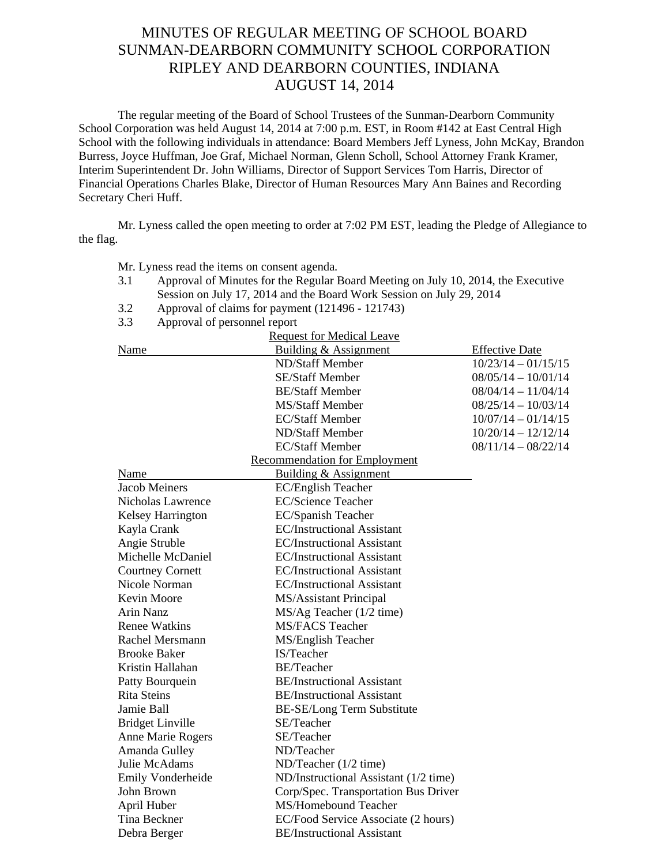## MINUTES OF REGULAR MEETING OF SCHOOL BOARD SUNMAN-DEARBORN COMMUNITY SCHOOL CORPORATION RIPLEY AND DEARBORN COUNTIES, INDIANA AUGUST 14, 2014

The regular meeting of the Board of School Trustees of the Sunman-Dearborn Community School Corporation was held August 14, 2014 at 7:00 p.m. EST, in Room #142 at East Central High School with the following individuals in attendance: Board Members Jeff Lyness, John McKay, Brandon Burress, Joyce Huffman, Joe Graf, Michael Norman, Glenn Scholl, School Attorney Frank Kramer, Interim Superintendent Dr. John Williams, Director of Support Services Tom Harris, Director of Financial Operations Charles Blake, Director of Human Resources Mary Ann Baines and Recording Secretary Cheri Huff.

Mr. Lyness called the open meeting to order at 7:02 PM EST, leading the Pledge of Allegiance to the flag.

Mr. Lyness read the items on consent agenda*.* 

- 3.1 Approval of Minutes for the Regular Board Meeting on July 10, 2014, the Executive Session on July 17, 2014 and the Board Work Session on July 29, 2014
- 3.2 Approval of claims for payment (121496 121743)
- 3.3 Approval of personnel report

|                          | <b>Request for Medical Leave</b>      |                       |
|--------------------------|---------------------------------------|-----------------------|
| Name                     | Building & Assignment                 | <b>Effective Date</b> |
|                          | ND/Staff Member                       | $10/23/14 - 01/15/15$ |
|                          | <b>SE/Staff Member</b>                | $08/05/14 - 10/01/14$ |
|                          | <b>BE/Staff Member</b>                | $08/04/14 - 11/04/14$ |
|                          | <b>MS/Staff Member</b>                | $08/25/14 - 10/03/14$ |
|                          | <b>EC/Staff Member</b>                | $10/07/14 - 01/14/15$ |
|                          | ND/Staff Member                       | $10/20/14 - 12/12/14$ |
|                          | <b>EC/Staff Member</b>                | $08/11/14 - 08/22/14$ |
|                          | <b>Recommendation for Employment</b>  |                       |
| Name                     | Building & Assignment                 |                       |
| <b>Jacob Meiners</b>     | <b>EC/English Teacher</b>             |                       |
| Nicholas Lawrence        | <b>EC/Science Teacher</b>             |                       |
| <b>Kelsey Harrington</b> | EC/Spanish Teacher                    |                       |
| Kayla Crank              | <b>EC/Instructional Assistant</b>     |                       |
| Angie Struble            | <b>EC/Instructional Assistant</b>     |                       |
| Michelle McDaniel        | <b>EC/Instructional Assistant</b>     |                       |
| <b>Courtney Cornett</b>  | <b>EC/Instructional Assistant</b>     |                       |
| Nicole Norman            | <b>EC/Instructional Assistant</b>     |                       |
| Kevin Moore              | MS/Assistant Principal                |                       |
| <b>Arin Nanz</b>         | MS/Ag Teacher (1/2 time)              |                       |
| <b>Renee Watkins</b>     | <b>MS/FACS Teacher</b>                |                       |
| Rachel Mersmann          | MS/English Teacher                    |                       |
| <b>Brooke Baker</b>      | IS/Teacher                            |                       |
| Kristin Hallahan         | <b>BE/Teacher</b>                     |                       |
| Patty Bourquein          | <b>BE/Instructional Assistant</b>     |                       |
| <b>Rita Steins</b>       | <b>BE/Instructional Assistant</b>     |                       |
| Jamie Ball               | BE-SE/Long Term Substitute            |                       |
| <b>Bridget Linville</b>  | SE/Teacher                            |                       |
| Anne Marie Rogers        | SE/Teacher                            |                       |
| Amanda Gulley            | ND/Teacher                            |                       |
| Julie McAdams            | ND/Teacher (1/2 time)                 |                       |
| Emily Vonderheide        | ND/Instructional Assistant (1/2 time) |                       |
| John Brown               | Corp/Spec. Transportation Bus Driver  |                       |
| April Huber              | MS/Homebound Teacher                  |                       |
| Tina Beckner             | EC/Food Service Associate (2 hours)   |                       |
| Debra Berger             | <b>BE/Instructional Assistant</b>     |                       |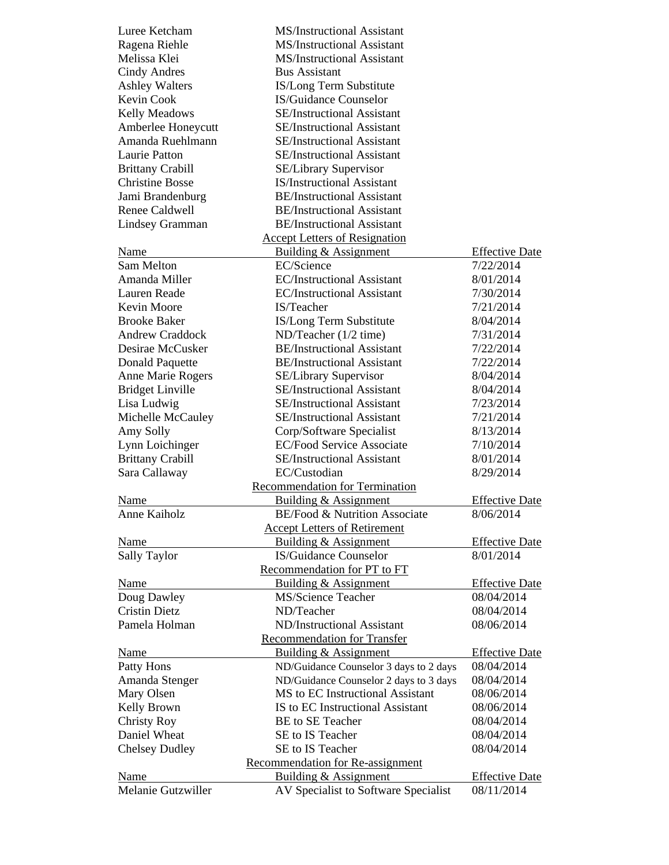| Luree Ketcham           | <b>MS/Instructional Assistant</b>        |                       |
|-------------------------|------------------------------------------|-----------------------|
| Ragena Riehle           | <b>MS/Instructional Assistant</b>        |                       |
| Melissa Klei            | <b>MS/Instructional Assistant</b>        |                       |
| Cindy Andres            | <b>Bus Assistant</b>                     |                       |
| <b>Ashley Walters</b>   | IS/Long Term Substitute                  |                       |
| <b>Kevin Cook</b>       | IS/Guidance Counselor                    |                       |
| <b>Kelly Meadows</b>    | <b>SE/Instructional Assistant</b>        |                       |
| Amberlee Honeycutt      | SE/Instructional Assistant               |                       |
| Amanda Ruehlmann        | <b>SE/Instructional Assistant</b>        |                       |
| Laurie Patton           | <b>SE/Instructional Assistant</b>        |                       |
| <b>Brittany Crabill</b> | <b>SE/Library Supervisor</b>             |                       |
| <b>Christine Bosse</b>  | <b>IS/Instructional Assistant</b>        |                       |
| Jami Brandenburg        | <b>BE/Instructional Assistant</b>        |                       |
| Renee Caldwell          | <b>BE/Instructional Assistant</b>        |                       |
| Lindsey Gramman         | <b>BE/Instructional Assistant</b>        |                       |
|                         | <b>Accept Letters of Resignation</b>     |                       |
| Name                    | <b>Building &amp; Assignment</b>         | <b>Effective Date</b> |
| Sam Melton              | EC/Science                               | 7/22/2014             |
| Amanda Miller           | <b>EC/Instructional Assistant</b>        | 8/01/2014             |
| Lauren Reade            | <b>EC/Instructional Assistant</b>        | 7/30/2014             |
| Kevin Moore             | IS/Teacher                               | 7/21/2014             |
| <b>Brooke Baker</b>     | IS/Long Term Substitute                  | 8/04/2014             |
| <b>Andrew Craddock</b>  | ND/Teacher (1/2 time)                    | 7/31/2014             |
| Desirae McCusker        | <b>BE/Instructional Assistant</b>        | 7/22/2014             |
| Donald Paquette         | <b>BE/Instructional Assistant</b>        | 7/22/2014             |
| Anne Marie Rogers       | <b>SE/Library Supervisor</b>             | 8/04/2014             |
| <b>Bridget Linville</b> | <b>SE/Instructional Assistant</b>        | 8/04/2014             |
| Lisa Ludwig             | <b>SE/Instructional Assistant</b>        | 7/23/2014             |
| Michelle McCauley       | SE/Instructional Assistant               | 7/21/2014             |
| Amy Solly               | Corp/Software Specialist                 | 8/13/2014             |
| Lynn Loichinger         | <b>EC/Food Service Associate</b>         | 7/10/2014             |
| <b>Brittany Crabill</b> | <b>SE/Instructional Assistant</b>        | 8/01/2014             |
| Sara Callaway           | EC/Custodian                             | 8/29/2014             |
|                         | <b>Recommendation for Termination</b>    |                       |
| <b>Name</b>             | Building & Assignment                    | <b>Effective Date</b> |
| <b>Anne Kaiholz</b>     | <b>BE/Food &amp; Nutrition Associate</b> | 8/06/2014             |
|                         | <b>Accept Letters of Retirement</b>      |                       |
| <b>Name</b>             | Building & Assignment                    | <b>Effective Date</b> |
| Sally Taylor            | IS/Guidance Counselor                    | 8/01/2014             |
|                         | Recommendation for PT to FT              |                       |
| Name                    | <b>Building &amp; Assignment</b>         | <b>Effective Date</b> |
| Doug Dawley             | MS/Science Teacher                       | 08/04/2014            |
| <b>Cristin Dietz</b>    | ND/Teacher                               | 08/04/2014            |
| Pamela Holman           | ND/Instructional Assistant               | 08/06/2014            |
|                         | <b>Recommendation for Transfer</b>       |                       |
| Name                    | Building & Assignment                    | <b>Effective Date</b> |
| Patty Hons              | ND/Guidance Counselor 3 days to 2 days   | 08/04/2014            |
| Amanda Stenger          | ND/Guidance Counselor 2 days to 3 days   | 08/04/2014            |
| Mary Olsen              | MS to EC Instructional Assistant         | 08/06/2014            |
| Kelly Brown             | IS to EC Instructional Assistant         | 08/06/2014            |
| <b>Christy Roy</b>      | <b>BE</b> to SE Teacher                  | 08/04/2014            |
| Daniel Wheat            | SE to IS Teacher                         | 08/04/2014            |
| <b>Chelsey Dudley</b>   | SE to IS Teacher                         | 08/04/2014            |
|                         | <b>Recommendation for Re-assignment</b>  |                       |
| <b>Name</b>             | Building & Assignment                    | <b>Effective Date</b> |
| Melanie Gutzwiller      | AV Specialist to Software Specialist     | 08/11/2014            |
|                         |                                          |                       |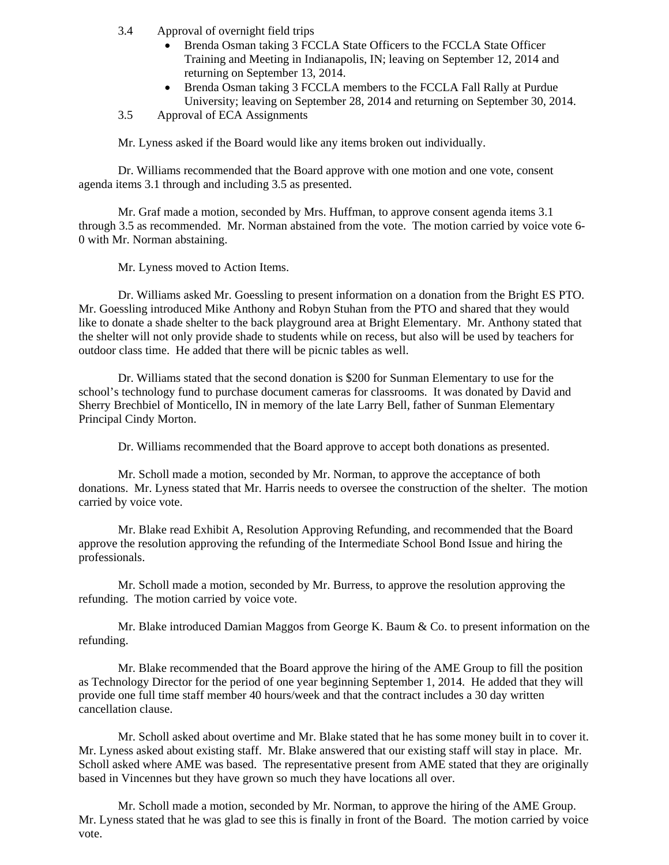- 3.4 Approval of overnight field trips
	- Brenda Osman taking 3 FCCLA State Officers to the FCCLA State Officer Training and Meeting in Indianapolis, IN; leaving on September 12, 2014 and returning on September 13, 2014.
	- Brenda Osman taking 3 FCCLA members to the FCCLA Fall Rally at Purdue University; leaving on September 28, 2014 and returning on September 30, 2014.
- 3.5 Approval of ECA Assignments

Mr. Lyness asked if the Board would like any items broken out individually.

Dr. Williams recommended that the Board approve with one motion and one vote, consent agenda items 3.1 through and including 3.5 as presented.

Mr. Graf made a motion, seconded by Mrs. Huffman, to approve consent agenda items 3.1 through 3.5 as recommended. Mr. Norman abstained from the vote. The motion carried by voice vote 6- 0 with Mr. Norman abstaining.

Mr. Lyness moved to Action Items.

Dr. Williams asked Mr. Goessling to present information on a donation from the Bright ES PTO. Mr. Goessling introduced Mike Anthony and Robyn Stuhan from the PTO and shared that they would like to donate a shade shelter to the back playground area at Bright Elementary. Mr. Anthony stated that the shelter will not only provide shade to students while on recess, but also will be used by teachers for outdoor class time. He added that there will be picnic tables as well.

 Dr. Williams stated that the second donation is \$200 for Sunman Elementary to use for the school's technology fund to purchase document cameras for classrooms. It was donated by David and Sherry Brechbiel of Monticello, IN in memory of the late Larry Bell, father of Sunman Elementary Principal Cindy Morton.

Dr. Williams recommended that the Board approve to accept both donations as presented.

Mr. Scholl made a motion, seconded by Mr. Norman, to approve the acceptance of both donations. Mr. Lyness stated that Mr. Harris needs to oversee the construction of the shelter. The motion carried by voice vote.

Mr. Blake read Exhibit A, Resolution Approving Refunding, and recommended that the Board approve the resolution approving the refunding of the Intermediate School Bond Issue and hiring the professionals.

Mr. Scholl made a motion, seconded by Mr. Burress, to approve the resolution approving the refunding. The motion carried by voice vote.

Mr. Blake introduced Damian Maggos from George K. Baum & Co. to present information on the refunding.

Mr. Blake recommended that the Board approve the hiring of the AME Group to fill the position as Technology Director for the period of one year beginning September 1, 2014. He added that they will provide one full time staff member 40 hours/week and that the contract includes a 30 day written cancellation clause.

Mr. Scholl asked about overtime and Mr. Blake stated that he has some money built in to cover it. Mr. Lyness asked about existing staff. Mr. Blake answered that our existing staff will stay in place. Mr. Scholl asked where AME was based. The representative present from AME stated that they are originally based in Vincennes but they have grown so much they have locations all over.

Mr. Scholl made a motion, seconded by Mr. Norman, to approve the hiring of the AME Group. Mr. Lyness stated that he was glad to see this is finally in front of the Board. The motion carried by voice vote.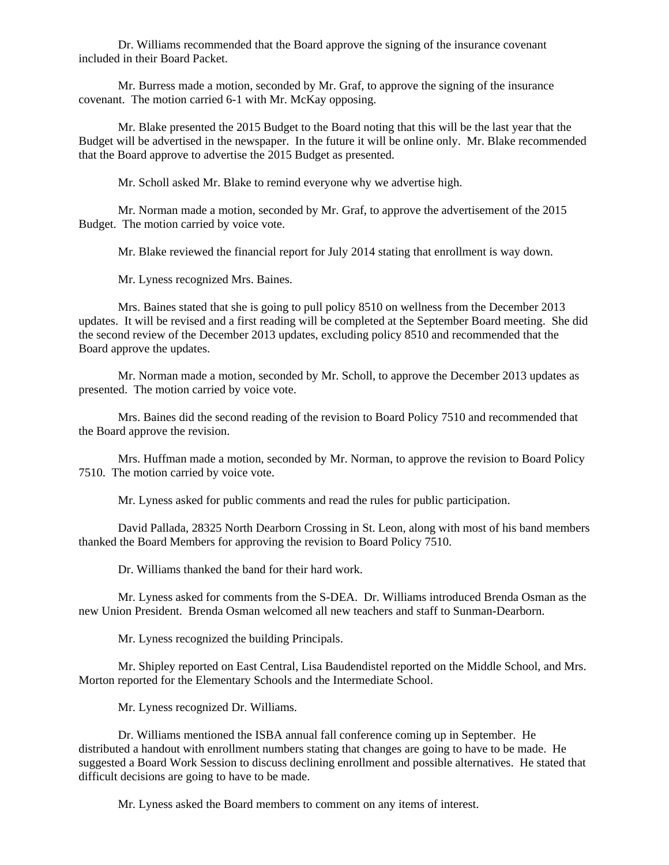Dr. Williams recommended that the Board approve the signing of the insurance covenant included in their Board Packet.

Mr. Burress made a motion, seconded by Mr. Graf, to approve the signing of the insurance covenant. The motion carried 6-1 with Mr. McKay opposing.

Mr. Blake presented the 2015 Budget to the Board noting that this will be the last year that the Budget will be advertised in the newspaper. In the future it will be online only. Mr. Blake recommended that the Board approve to advertise the 2015 Budget as presented.

Mr. Scholl asked Mr. Blake to remind everyone why we advertise high.

Mr. Norman made a motion, seconded by Mr. Graf, to approve the advertisement of the 2015 Budget. The motion carried by voice vote.

Mr. Blake reviewed the financial report for July 2014 stating that enrollment is way down.

Mr. Lyness recognized Mrs. Baines.

 Mrs. Baines stated that she is going to pull policy 8510 on wellness from the December 2013 updates. It will be revised and a first reading will be completed at the September Board meeting. She did the second review of the December 2013 updates, excluding policy 8510 and recommended that the Board approve the updates.

 Mr. Norman made a motion, seconded by Mr. Scholl, to approve the December 2013 updates as presented. The motion carried by voice vote.

 Mrs. Baines did the second reading of the revision to Board Policy 7510 and recommended that the Board approve the revision.

 Mrs. Huffman made a motion, seconded by Mr. Norman, to approve the revision to Board Policy 7510. The motion carried by voice vote.

Mr. Lyness asked for public comments and read the rules for public participation.

 David Pallada, 28325 North Dearborn Crossing in St. Leon, along with most of his band members thanked the Board Members for approving the revision to Board Policy 7510.

Dr. Williams thanked the band for their hard work.

 Mr. Lyness asked for comments from the S-DEA. Dr. Williams introduced Brenda Osman as the new Union President. Brenda Osman welcomed all new teachers and staff to Sunman-Dearborn.

Mr. Lyness recognized the building Principals.

Mr. Shipley reported on East Central, Lisa Baudendistel reported on the Middle School, and Mrs. Morton reported for the Elementary Schools and the Intermediate School.

Mr. Lyness recognized Dr. Williams.

Dr. Williams mentioned the ISBA annual fall conference coming up in September. He distributed a handout with enrollment numbers stating that changes are going to have to be made. He suggested a Board Work Session to discuss declining enrollment and possible alternatives. He stated that difficult decisions are going to have to be made.

Mr. Lyness asked the Board members to comment on any items of interest.